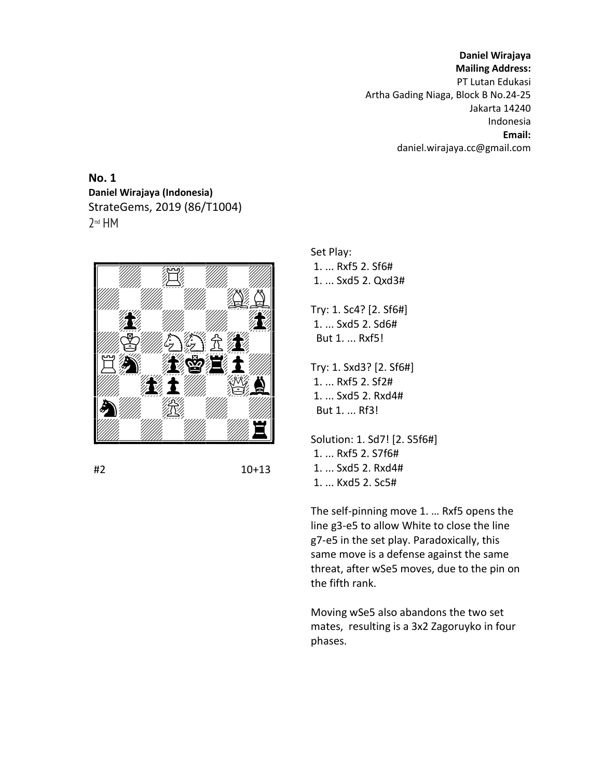**Daniel Wirajaya Mailing Address:** PT Lutan Edukasi Artha Gading Niaga, Block B No.24-25 Jakarta 14240 Indonesia **Email:** daniel.wirajaya.cc@gmail.com

**No. 1 Daniel Wirajaya (Indonesia)** StrateGems, 2019 (86/T1004) 2 nd HM



#2 10+13

Set Play: 1. ... Rxf5 2. Sf6# 1. ... Sxd5 2. Qxd3#

Try: 1. Sc4? [2. Sf6#] 1. ... Sxd5 2. Sd6# But 1. ... Rxf5!

Try: 1. Sxd3? [2. Sf6#] 1. ... Rxf5 2. Sf2# 1. ... Sxd5 2. Rxd4# But 1. ... Rf3!

Solution: 1. Sd7! [2. S5f6#] 1. ... Rxf5 2. S7f6# 1. ... Sxd5 2. Rxd4# 1. ... Kxd5 2. Sc5#

The self-pinning move 1. … Rxf5 opens the line g3-e5 to allow White to close the line g7-e5 in the set play. Paradoxically, this same move is a defense against the same threat, after wSe5 moves, due to the pin on the fifth rank.

Moving wSe5 also abandons the two set mates, resulting is a 3x2 Zagoruyko in four phases.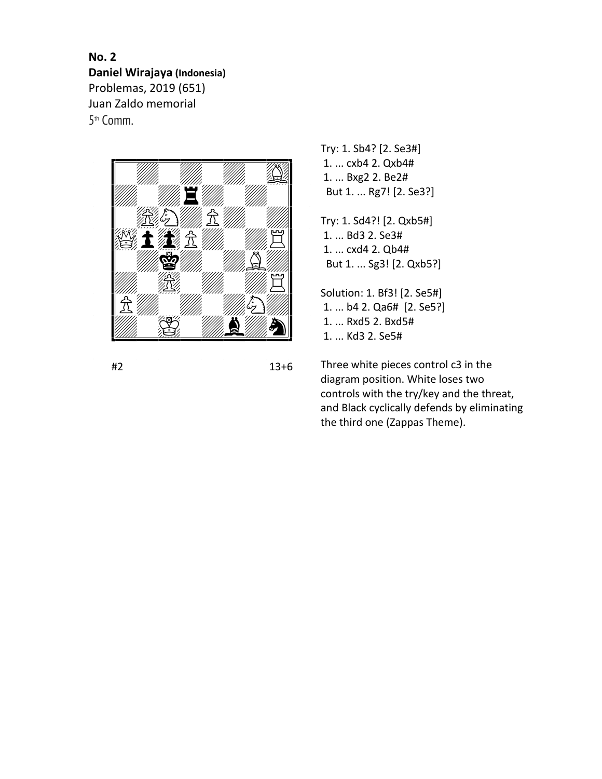**No. 2 Daniel Wirajaya (Indonesia)** Problemas, 2019 (651) Juan Zaldo memorial 5 th Comm.



#2 13+6

Try: 1. Sb4? [2. Se3#] 1. ... cxb4 2. Qxb4# 1. ... Bxg2 2. Be2# But 1. ... Rg7! [2. Se3?]

Try: 1. Sd4?! [2. Qxb5#] 1. ... Bd3 2. Se3# 1. ... cxd4 2. Qb4# But 1. ... Sg3! [2. Qxb5?]

Solution: 1. Bf3! [2. Se5#] 1. ... b4 2. Qa6# [2. Se5?] 1. ... Rxd5 2. Bxd5# 1. ... Kd3 2. Se5#

Three white pieces control c3 in the diagram position. White loses two controls with the try/key and the threat, and Black cyclically defends by eliminating the third one (Zappas Theme).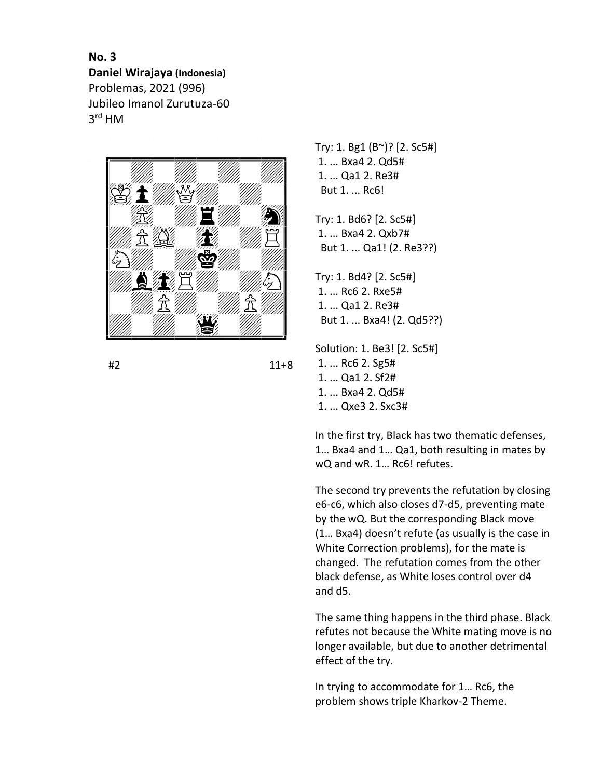**No. 3 Daniel Wirajaya (Indonesia)** Problemas, 2021 (996) Jubileo Imanol Zurutuza-60 3 rd HM



#2 11+8

Try: 1. Bg1 (B~)? [2. Sc5#] 1. ... Bxa4 2. Qd5# 1. ... Qa1 2. Re3# But 1. ... Rc6!

Try: 1. Bd6? [2. Sc5#] 1. ... Bxa4 2. Qxb7# But 1. ... Qa1! (2. Re3??)

Try: 1. Bd4? [2. Sc5#] 1. ... Rc6 2. Rxe5# 1. ... Qa1 2. Re3# But 1. ... Bxa4! (2. Qd5??)

Solution: 1. Be3! [2. Sc5#] 1. ... Rc6 2. Sg5# 1. ... Qa1 2. Sf2# 1. ... Bxa4 2. Qd5# 1. ... Qxe3 2. Sxc3#

In the first try, Black has two thematic defenses, 1… Bxa4 and 1… Qa1, both resulting in mates by wQ and wR. 1… Rc6! refutes.

The second try prevents the refutation by closing e6-c6, which also closes d7-d5, preventing mate by the wQ. But the corresponding Black move (1… Bxa4) doesn't refute (as usually is the case in White Correction problems), for the mate is changed. The refutation comes from the other black defense, as White loses control over d4 and d5.

The same thing happens in the third phase. Black refutes not because the White mating move is no longer available, but due to another detrimental effect of the try.

In trying to accommodate for 1… Rc6, the problem shows triple Kharkov-2 Theme.